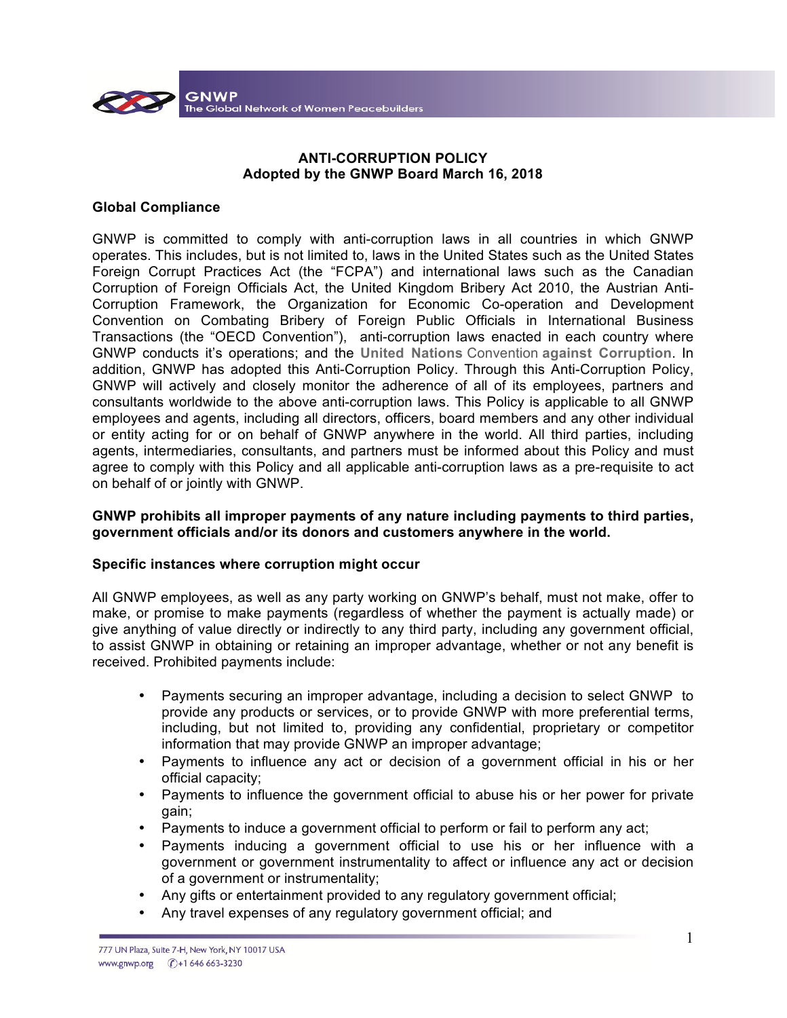

# **ANTI-CORRUPTION POLICY Adopted by the GNWP Board March 16, 2018**

### **Global Compliance**

GNWP is committed to comply with anti-corruption laws in all countries in which GNWP operates. This includes, but is not limited to, laws in the United States such as the United States Foreign Corrupt Practices Act (the "FCPA") and international laws such as the Canadian Corruption of Foreign Officials Act, the United Kingdom Bribery Act 2010, the Austrian Anti-Corruption Framework, the Organization for Economic Co-operation and Development Convention on Combating Bribery of Foreign Public Officials in International Business Transactions (the "OECD Convention"), anti-corruption laws enacted in each country where GNWP conducts it's operations; and the **United Nations** Convention **against Corruption**. In addition, GNWP has adopted this Anti-Corruption Policy. Through this Anti-Corruption Policy, GNWP will actively and closely monitor the adherence of all of its employees, partners and consultants worldwide to the above anti-corruption laws. This Policy is applicable to all GNWP employees and agents, including all directors, officers, board members and any other individual or entity acting for or on behalf of GNWP anywhere in the world. All third parties, including agents, intermediaries, consultants, and partners must be informed about this Policy and must agree to comply with this Policy and all applicable anti-corruption laws as a pre-requisite to act on behalf of or jointly with GNWP.

### **GNWP prohibits all improper payments of any nature including payments to third parties, government officials and/or its donors and customers anywhere in the world.**

#### **Specific instances where corruption might occur**

All GNWP employees, as well as any party working on GNWP's behalf, must not make, offer to make, or promise to make payments (regardless of whether the payment is actually made) or give anything of value directly or indirectly to any third party, including any government official, to assist GNWP in obtaining or retaining an improper advantage, whether or not any benefit is received. Prohibited payments include:

- Payments securing an improper advantage, including a decision to select GNWP to provide any products or services, or to provide GNWP with more preferential terms, including, but not limited to, providing any confidential, proprietary or competitor information that may provide GNWP an improper advantage;
- Payments to influence any act or decision of a government official in his or her official capacity;
- Payments to influence the government official to abuse his or her power for private gain;
- Payments to induce a government official to perform or fail to perform any act;
- Payments inducing a government official to use his or her influence with a government or government instrumentality to affect or influence any act or decision of a government or instrumentality;
- Any gifts or entertainment provided to any regulatory government official;
- Any travel expenses of any regulatory government official; and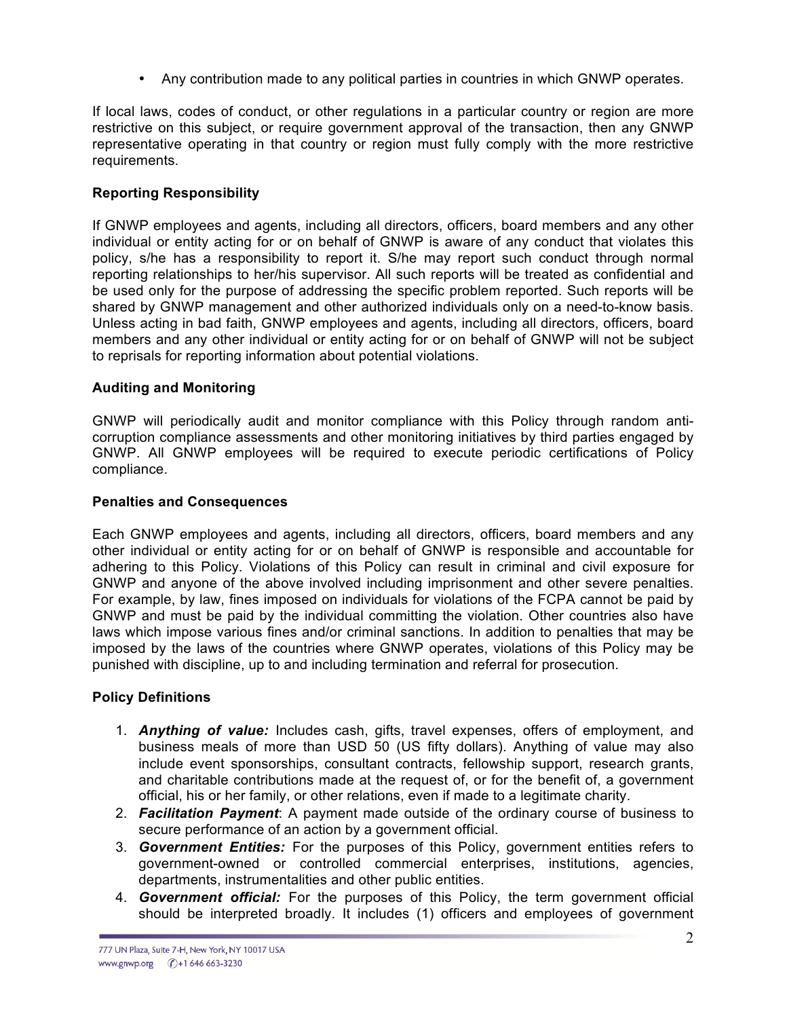• Any contribution made to any political parties in countries in which GNWP operates.

If local laws, codes of conduct, or other regulations in a particular country or region are more restrictive on this subject, or require government approval of the transaction, then any GNWP representative operating in that country or region must fully comply with the more restrictive requirements.

## **Reporting Responsibility**

If GNWP employees and agents, including all directors, officers, board members and any other individual or entity acting for or on behalf of GNWP is aware of any conduct that violates this policy, s/he has a responsibility to report it. S/he may report such conduct through normal reporting relationships to her/his supervisor. All such reports will be treated as confidential and be used only for the purpose of addressing the specific problem reported. Such reports will be shared by GNWP management and other authorized individuals only on a need-to-know basis. Unless acting in bad faith, GNWP employees and agents, including all directors, officers, board members and any other individual or entity acting for or on behalf of GNWP will not be subject to reprisals for reporting information about potential violations.

## **Auditing and Monitoring**

GNWP will periodically audit and monitor compliance with this Policy through random anticorruption compliance assessments and other monitoring initiatives by third parties engaged by GNWP. All GNWP employees will be required to execute periodic certifications of Policy compliance.

### **Penalties and Consequences**

Each GNWP employees and agents, including all directors, officers, board members and any other individual or entity acting for or on behalf of GNWP is responsible and accountable for adhering to this Policy. Violations of this Policy can result in criminal and civil exposure for GNWP and anyone of the above involved including imprisonment and other severe penalties. For example, by law, fines imposed on individuals for violations of the FCPA cannot be paid by GNWP and must be paid by the individual committing the violation. Other countries also have laws which impose various fines and/or criminal sanctions. In addition to penalties that may be imposed by the laws of the countries where GNWP operates, violations of this Policy may be punished with discipline, up to and including termination and referral for prosecution.

## **Policy Definitions**

- 1. *Anything of value:* Includes cash, gifts, travel expenses, offers of employment, and business meals of more than USD 50 (US fifty dollars). Anything of value may also include event sponsorships, consultant contracts, fellowship support, research grants, and charitable contributions made at the request of, or for the benefit of, a government official, his or her family, or other relations, even if made to a legitimate charity.
- 2. *Facilitation Payment*: A payment made outside of the ordinary course of business to secure performance of an action by a government official.
- 3. *Government Entities:* For the purposes of this Policy, government entities refers to government-owned or controlled commercial enterprises, institutions, agencies, departments, instrumentalities and other public entities.
- 4. *Government official:* For the purposes of this Policy, the term government official should be interpreted broadly. It includes (1) officers and employees of government